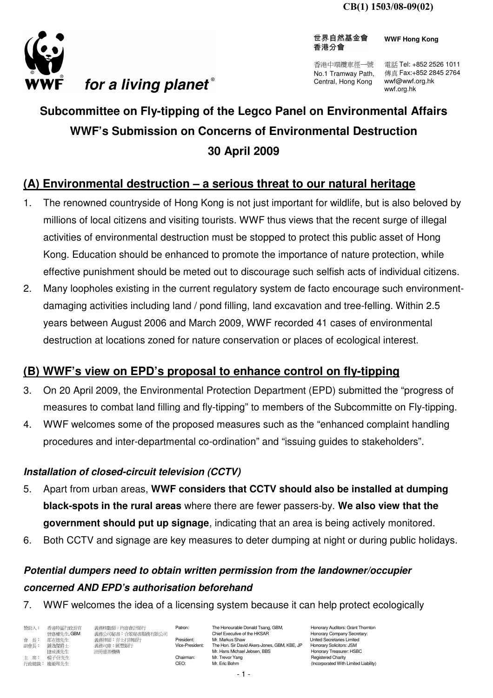

世界自然基金會 香港分會

**WWF Hong Kong**

香港中環纜車徑一號 No.1 Tramway Path, Central, Hong Kong

電話 Tel: +852 2526 1011 傳真 Fax:+852 2845 2764 wwf@wwf.org.hk wwf.org.hk

# **Subcommittee on Fly-tipping of the Legco Panel on Environmental Affairs WWF's Submission on Concerns of Environmental Destruction 30 April 2009**

# **(A) Environmental destruction – a serious threat to our natural heritage**

- 1. The renowned countryside of Hong Kong is not just important for wildlife, but is also beloved by millions of local citizens and visiting tourists. WWF thus views that the recent surge of illegal activities of environmental destruction must be stopped to protect this public asset of Hong Kong. Education should be enhanced to promote the importance of nature protection, while effective punishment should be meted out to discourage such selfish acts of individual citizens.
- 2. Many loopholes existing in the current regulatory system de facto encourage such environmentdamaging activities including land / pond filling, land excavation and tree-felling. Within 2.5 years between August 2006 and March 2009, WWF recorded 41 cases of environmental destruction at locations zoned for nature conservation or places of ecological interest.

### **(B) WWF's view on EPD's proposal to enhance control on fly-tipping**

- 3. On 20 April 2009, the Environmental Protection Department (EPD) submitted the "progress of measures to combat land filling and fly-tipping" to members of the Subcommitte on Fly-tipping.
- 4. WWF welcomes some of the proposed measures such as the "enhanced complaint handling procedures and inter-departmental co-ordination" and "issuing guides to stakeholders".

#### **Installation of closed-circuit television (CCTV)**

- 5. Apart from urban areas, **WWF considers that CCTV should also be installed at dumping black-spots in the rural areas** where there are fewer passers-by. **We also view that the government should put up signage**, indicating that an area is being actively monitored.
- 6. Both CCTV and signage are key measures to deter dumping at night or during public holidays.

# **Potential dumpers need to obtain written permission from the landowner/occupier concerned AND EPD's authorisation beforehand**

7. WWF welcomes the idea of a licensing system because it can help protect ecologically

贊助人: 香港特區行政長官 義務核數師:均富會計師行 Patron: The Honourable Donald Tsang, GBM, Honorary Auditors: Grant Thornton<br>會議權先生, GBM 義務公司秘書: 合眾秘書服務有限公司 曾蔭權先生, GBM 義務公司秘書:合眾秘書服務有限公司 Chief Executive of the HKSAR Honorary Company Secretary: 會 長: 邵在德先生 義務律師:孖士打律師行 President: Mr. Markus Shaw United Secretaries Limited 副會長: 鍾逸傑爵士 義務司庫:匯豐銀行 Vice-President: The Hon. Sir David Akers-Jones, GBM, KBE, JP Honorary Solicitors: JSM 捷成漢先生 註冊慈善機構 Mr. Hans Michael Jebsen, BBS Honorary Treasurer: HSBC 主 席: 楊子信先生 Chairman: Mr. Trevor Yang Chairman: Mr. Trevor Yang Registered Charity 行政總裁: 龐毅理先生 **Mr. Eric Bohm (Incorporated With Limited Liability**)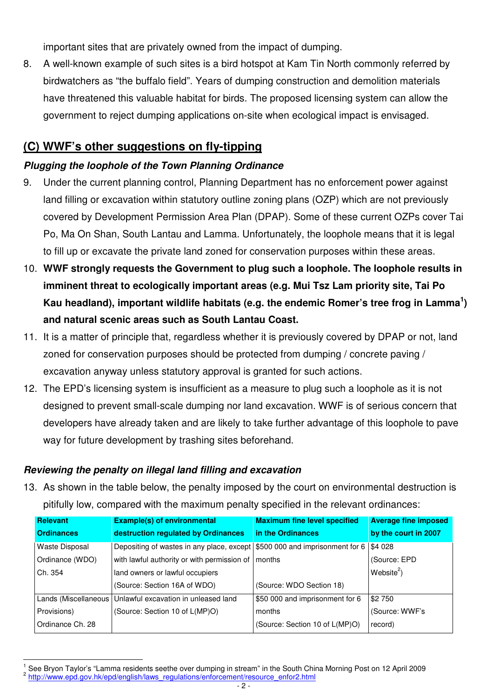important sites that are privately owned from the impact of dumping.

8. A well-known example of such sites is a bird hotspot at Kam Tin North commonly referred by birdwatchers as "the buffalo field". Years of dumping construction and demolition materials have threatened this valuable habitat for birds. The proposed licensing system can allow the government to reject dumping applications on-site when ecological impact is envisaged.

### **(C) WWF's other suggestions on fly-tipping**

#### **Plugging the loophole of the Town Planning Ordinance**

- 9. Under the current planning control, Planning Department has no enforcement power against land filling or excavation within statutory outline zoning plans (OZP) which are not previously covered by Development Permission Area Plan (DPAP). Some of these current OZPs cover Tai Po, Ma On Shan, South Lantau and Lamma. Unfortunately, the loophole means that it is legal to fill up or excavate the private land zoned for conservation purposes within these areas.
- 10. **WWF strongly requests the Government to plug such a loophole. The loophole results in imminent threat to ecologically important areas (e.g. Mui Tsz Lam priority site, Tai Po Kau headland), important wildlife habitats (e.g. the endemic Romer's tree frog in Lamma<sup>1</sup> ) and natural scenic areas such as South Lantau Coast.**
- 11. It is a matter of principle that, regardless whether it is previously covered by DPAP or not, land zoned for conservation purposes should be protected from dumping / concrete paving / excavation anyway unless statutory approval is granted for such actions.
- 12. The EPD's licensing system is insufficient as a measure to plug such a loophole as it is not designed to prevent small-scale dumping nor land excavation. WWF is of serious concern that developers have already taken and are likely to take further advantage of this loophole to pave way for future development by trashing sites beforehand.

#### **Reviewing the penalty on illegal land filling and excavation**

 $\overline{a}$ 

13. As shown in the table below, the penalty imposed by the court on environmental destruction is pitifully low, compared with the maximum penalty specified in the relevant ordinances:

| Relevant              | <b>Example(s) of environmental</b>                                         | <b>Maximum fine level specified</b> | <b>Average fine imposed</b> |
|-----------------------|----------------------------------------------------------------------------|-------------------------------------|-----------------------------|
| <b>Ordinances</b>     | destruction regulated by Ordinances                                        | in the Ordinances                   | by the court in 2007        |
| <b>Waste Disposal</b> | Depositing of wastes in any place, except \$500 000 and imprisonment for 6 |                                     | \$4 0 28                    |
| Ordinance (WDO)       | with lawful authority or with permission of   months                       |                                     | (Source: EPD)               |
| Ch. 354               | land owners or lawful occupiers                                            |                                     | Website <sup>2</sup> )      |
|                       | (Source: Section 16A of WDO)                                               | (Source: WDO Section 18)            |                             |
| Lands (Miscellaneous  | Unlawful excavation in unleased land                                       | \$50 000 and imprisonment for 6     | \$2 750                     |
| Provisions)           | (Source: Section 10 of L(MP)O)                                             | months                              | (Source: WWF's              |
| Ordinance Ch. 28      |                                                                            | (Source: Section 10 of L(MP)O)      | record)                     |

<sup>1</sup> See Bryon Taylor's "Lamma residents seethe over dumping in stream" in the South China Morning Post on 12 April 2009 <sup>2</sup> http://www.epd.gov.hk/epd/english/laws\_regulations/enforcement/resource\_enfor2.html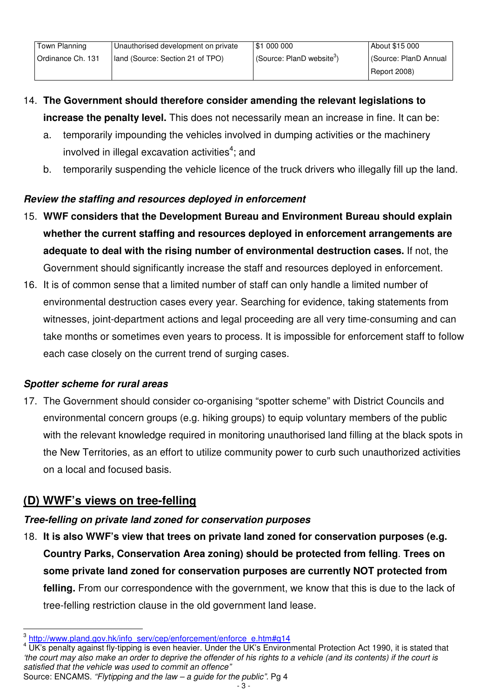- 14. **The Government should therefore consider amending the relevant legislations to increase the penalty level.** This does not necessarily mean an increase in fine. It can be:
	- a. temporarily impounding the vehicles involved in dumping activities or the machinery involved in illegal excavation activities<sup>4</sup>; and
	- b. temporarily suspending the vehicle licence of the truck drivers who illegally fill up the land.

### **Review the staffing and resources deployed in enforcement**

- 15. **WWF considers that the Development Bureau and Environment Bureau should explain whether the current staffing and resources deployed in enforcement arrangements are adequate to deal with the rising number of environmental destruction cases.** If not, the Government should significantly increase the staff and resources deployed in enforcement.
- 16. It is of common sense that a limited number of staff can only handle a limited number of environmental destruction cases every year. Searching for evidence, taking statements from witnesses, joint-department actions and legal proceeding are all very time-consuming and can take months or sometimes even years to process. It is impossible for enforcement staff to follow each case closely on the current trend of surging cases.

### **Spotter scheme for rural areas**

17. The Government should consider co-organising "spotter scheme" with District Councils and environmental concern groups (e.g. hiking groups) to equip voluntary members of the public with the relevant knowledge required in monitoring unauthorised land filling at the black spots in the New Territories, as an effort to utilize community power to curb such unauthorized activities on a local and focused basis.

# **(D) WWF's views on tree-felling**

 $\overline{a}$ 

# **Tree-felling on private land zoned for conservation purposes**

18. **It is also WWF's view that trees on private land zoned for conservation purposes (e.g. Country Parks, Conservation Area zoning) should be protected from felling**. **Trees on some private land zoned for conservation purposes are currently NOT protected from felling.** From our correspondence with the government, we know that this is due to the lack of tree-felling restriction clause in the old government land lease.

<sup>&</sup>lt;sup>3</sup> http://www.pland.gov.hk/info\_serv/cep/enforcement/enforce\_e.htm#q14

<sup>&</sup>lt;sup>4</sup> UK's penalty against fly-tipping is even heavier. Under the UK's Environmental Protection Act 1990, it is stated that 'the court may also make an order to deprive the offender of his rights to a vehicle (and its contents) if the court is satisfied that the vehicle was used to commit an offence" Source: ENCAMS. "Flytipping and the law – a guide for the public". Pg 4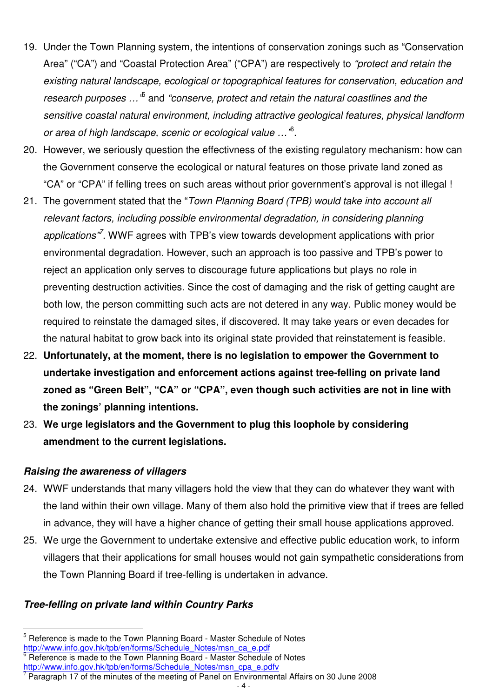- 19. Under the Town Planning system, the intentions of conservation zonings such as "Conservation Area" ("CA") and "Coastal Protection Area" ("CPA") are respectively to "protect and retain the existing natural landscape, ecological or topographical features for conservation, education and research purposes ...<sup>,5</sup> and "conserve, protect and retain the natural coastlines and the sensitive coastal natural environment, including attractive geological features, physical landform or area of high landscape, scenic or ecological value ..."<sup>6</sup>.
- 20. However, we seriously question the effectivness of the existing regulatory mechanism: how can the Government conserve the ecological or natural features on those private land zoned as "CA" or "CPA" if felling trees on such areas without prior government's approval is not illegal !
- 21. The government stated that the "Town Planning Board (TPB) would take into account all relevant factors, including possible environmental degradation, in considering planning applications<sup>37</sup>. WWF agrees with TPB's view towards development applications with prior environmental degradation. However, such an approach is too passive and TPB's power to reject an application only serves to discourage future applications but plays no role in preventing destruction activities. Since the cost of damaging and the risk of getting caught are both low, the person committing such acts are not detered in any way. Public money would be required to reinstate the damaged sites, if discovered. It may take years or even decades for the natural habitat to grow back into its original state provided that reinstatement is feasible.
- 22. **Unfortunately, at the moment, there is no legislation to empower the Government to undertake investigation and enforcement actions against tree-felling on private land zoned as "Green Belt", "CA" or "CPA", even though such activities are not in line with the zonings' planning intentions.**
- 23. **We urge legislators and the Government to plug this loophole by considering amendment to the current legislations.**

#### **Raising the awareness of villagers**

 $\overline{a}$ 

- 24. WWF understands that many villagers hold the view that they can do whatever they want with the land within their own village. Many of them also hold the primitive view that if trees are felled in advance, they will have a higher chance of getting their small house applications approved.
- 25. We urge the Government to undertake extensive and effective public education work, to inform villagers that their applications for small houses would not gain sympathetic considerations from the Town Planning Board if tree-felling is undertaken in advance.

#### **Tree-felling on private land within Country Parks**

<sup>&</sup>lt;sup>5</sup> Reference is made to the Town Planning Board - Master Schedule of Notes http://www.info.gov.hk/tpb/en/forms/Schedule\_Notes/msn\_ca\_e.pdf

<sup>6</sup> Reference is made to the Town Planning Board - Master Schedule of Notes http://www.info.gov.hk/tpb/en/forms/Schedule\_Notes/msn\_cpa\_e.pdfv

<sup>7</sup> Paragraph 17 of the minutes of the meeting of Panel on Environmental Affairs on 30 June 2008